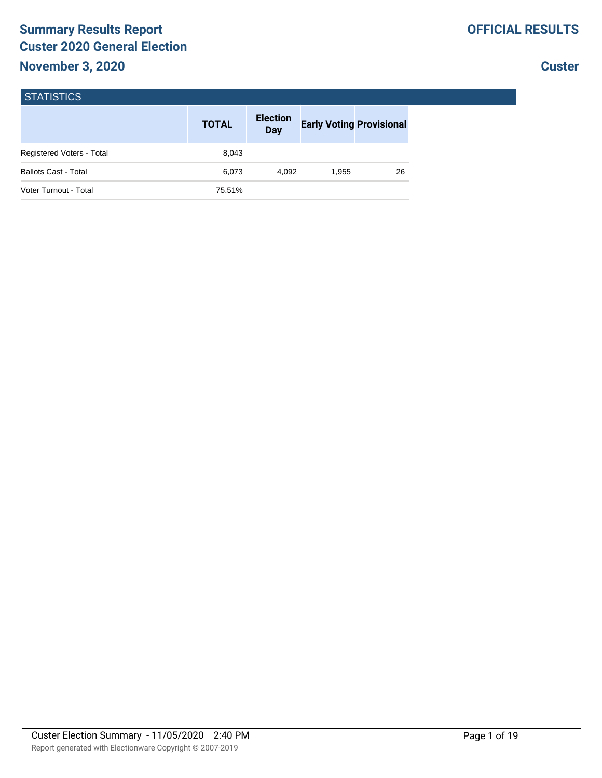# **Summary Results Report Custer 2020 General Election**

## **Custer**

| <b>STATISTICS</b>                |              |                        |                                 |    |
|----------------------------------|--------------|------------------------|---------------------------------|----|
|                                  | <b>TOTAL</b> | <b>Election</b><br>Day | <b>Early Voting Provisional</b> |    |
| <b>Registered Voters - Total</b> | 8,043        |                        |                                 |    |
| <b>Ballots Cast - Total</b>      | 6,073        | 4.092                  | 1,955                           | 26 |
| Voter Turnout - Total            | 75.51%       |                        |                                 |    |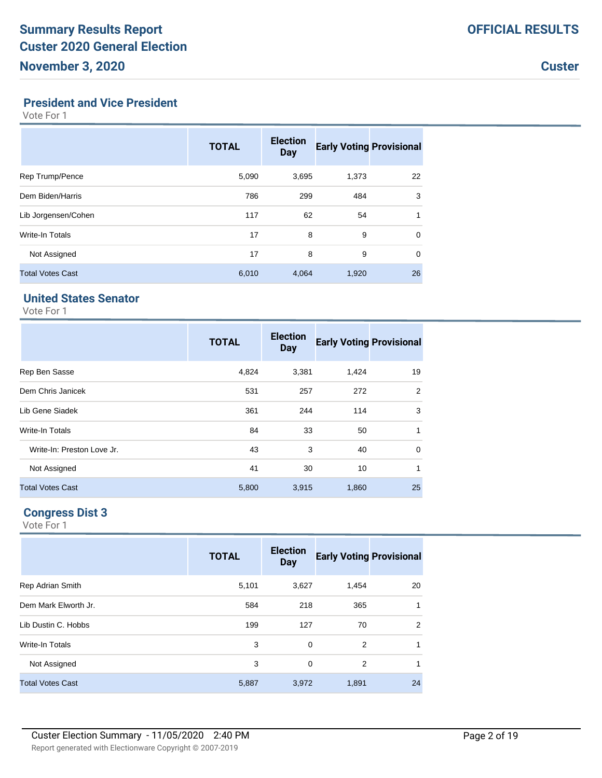#### **President and Vice President**

Vote For 1

|                         | <b>TOTAL</b> | <b>Election</b><br><b>Day</b> | <b>Early Voting Provisional</b> |             |
|-------------------------|--------------|-------------------------------|---------------------------------|-------------|
| Rep Trump/Pence         | 5,090        | 3,695                         | 1,373                           | 22          |
| Dem Biden/Harris        | 786          | 299                           | 484                             | 3           |
| Lib Jorgensen/Cohen     | 117          | 62                            | 54                              | 1           |
| Write-In Totals         | 17           | 8                             | 9                               | $\mathbf 0$ |
| Not Assigned            | 17           | 8                             | 9                               | $\mathbf 0$ |
| <b>Total Votes Cast</b> | 6,010        | 4,064                         | 1,920                           | 26          |

# **United States Senator**

Vote For 1

|                            | <b>TOTAL</b> | <b>Election</b><br><b>Day</b> | <b>Early Voting Provisional</b> |                |
|----------------------------|--------------|-------------------------------|---------------------------------|----------------|
| Rep Ben Sasse              | 4,824        | 3,381                         | 1,424                           | 19             |
| Dem Chris Janicek          | 531          | 257                           | 272                             | $\overline{2}$ |
| Lib Gene Siadek            | 361          | 244                           | 114                             | 3              |
| Write-In Totals            | 84           | 33                            | 50                              | 1              |
| Write-In: Preston Love Jr. | 43           | 3                             | 40                              | $\mathbf 0$    |
| Not Assigned               | 41           | 30                            | 10                              | 1              |
| <b>Total Votes Cast</b>    | 5,800        | 3,915                         | 1,860                           | 25             |

# **Congress Dist 3**

|                         | <b>TOTAL</b> | <b>Election</b><br><b>Day</b> | <b>Early Voting Provisional</b> |    |
|-------------------------|--------------|-------------------------------|---------------------------------|----|
| <b>Rep Adrian Smith</b> | 5,101        | 3,627                         | 1,454                           | 20 |
| Dem Mark Elworth Jr.    | 584          | 218                           | 365                             | 1  |
| Lib Dustin C. Hobbs     | 199          | 127                           | 70                              | 2  |
| Write-In Totals         | 3            | $\Omega$                      | 2                               | 1  |
| Not Assigned            | 3            | $\Omega$                      | 2                               | 1  |
| <b>Total Votes Cast</b> | 5,887        | 3,972                         | 1,891                           | 24 |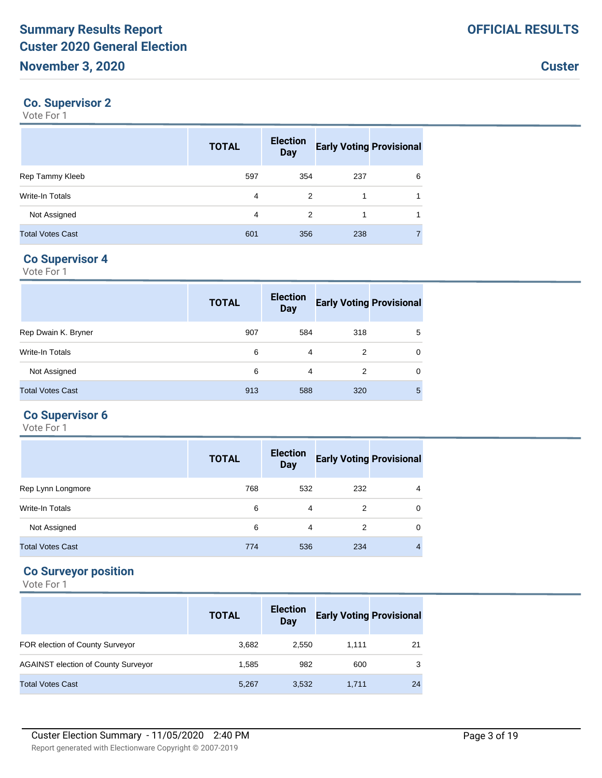## **Co. Supervisor 2**

Vote For 1

|                         | <b>TOTAL</b> | <b>Election</b><br><b>Day</b> | <b>Early Voting Provisional</b> |   |
|-------------------------|--------------|-------------------------------|---------------------------------|---|
| Rep Tammy Kleeb         | 597          | 354                           | 237                             | 6 |
| Write-In Totals         | 4            | 2                             |                                 |   |
| Not Assigned            | 4            | 2                             |                                 |   |
| <b>Total Votes Cast</b> | 601          | 356                           | 238                             |   |

## **Co Supervisor 4**

Vote For 1

|                         | <b>TOTAL</b> | <b>Election</b><br><b>Day</b> | <b>Early Voting Provisional</b> |          |
|-------------------------|--------------|-------------------------------|---------------------------------|----------|
| Rep Dwain K. Bryner     | 907          | 584                           | 318                             | 5        |
| Write-In Totals         | 6            | 4                             | 2                               | $\Omega$ |
| Not Assigned            | 6            | 4                             | 2                               | $\Omega$ |
| <b>Total Votes Cast</b> | 913          | 588                           | 320                             | 5        |

# **Co Supervisor 6**

Vote For 1

|                         | <b>TOTAL</b> | <b>Election</b><br><b>Day</b> | <b>Early Voting Provisional</b> |                |
|-------------------------|--------------|-------------------------------|---------------------------------|----------------|
| Rep Lynn Longmore       | 768          | 532                           | 232                             | 4              |
| <b>Write-In Totals</b>  | 6            | 4                             | 2                               | 0              |
| Not Assigned            | 6            | 4                             | 2                               | $\Omega$       |
| <b>Total Votes Cast</b> | 774          | 536                           | 234                             | $\overline{4}$ |

## **Co Surveyor position**

|                                            | <b>TOTAL</b> | <b>Election</b><br>Day | <b>Early Voting Provisional</b> |    |
|--------------------------------------------|--------------|------------------------|---------------------------------|----|
| FOR election of County Surveyor            | 3.682        | 2.550                  | 1.111                           | 21 |
| <b>AGAINST election of County Surveyor</b> | 1.585        | 982                    | 600                             | 3  |
| <b>Total Votes Cast</b>                    | 5,267        | 3,532                  | 1,711                           | 24 |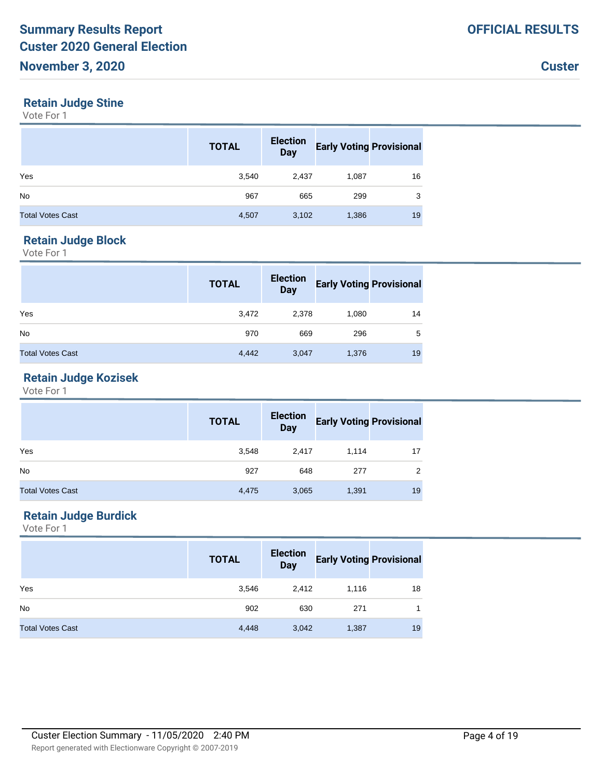#### **Retain Judge Stine**

Vote For 1

|                         | <b>TOTAL</b> | <b>Election</b><br><b>Day</b> | <b>Early Voting Provisional</b> |    |
|-------------------------|--------------|-------------------------------|---------------------------------|----|
| Yes                     | 3,540        | 2,437                         | 1,087                           | 16 |
| <b>No</b>               | 967          | 665                           | 299                             | 3  |
| <b>Total Votes Cast</b> | 4,507        | 3,102                         | 1,386                           | 19 |

## **Retain Judge Block**

Vote For 1

|                         | <b>TOTAL</b> | <b>Election</b><br><b>Day</b> | <b>Early Voting Provisional</b> |    |
|-------------------------|--------------|-------------------------------|---------------------------------|----|
| Yes                     | 3,472        | 2,378                         | 1,080                           | 14 |
| <b>No</b>               | 970          | 669                           | 296                             | 5  |
| <b>Total Votes Cast</b> | 4,442        | 3,047                         | 1,376                           | 19 |

## **Retain Judge Kozisek**

Vote For 1

|                         | <b>TOTAL</b> | <b>Election</b><br><b>Day</b> | <b>Early Voting Provisional</b> |    |
|-------------------------|--------------|-------------------------------|---------------------------------|----|
| Yes                     | 3,548        | 2.417                         | 1.114                           | 17 |
| N <sub>o</sub>          | 927          | 648                           | 277                             | 2  |
| <b>Total Votes Cast</b> | 4,475        | 3,065                         | 1,391                           | 19 |

## **Retain Judge Burdick**

|                         | <b>TOTAL</b> | <b>Election</b><br><b>Day</b> | <b>Early Voting Provisional</b> |    |
|-------------------------|--------------|-------------------------------|---------------------------------|----|
| Yes                     | 3,546        | 2,412                         | 1,116                           | 18 |
| <b>No</b>               | 902          | 630                           | 271                             |    |
| <b>Total Votes Cast</b> | 4,448        | 3,042                         | 1,387                           | 19 |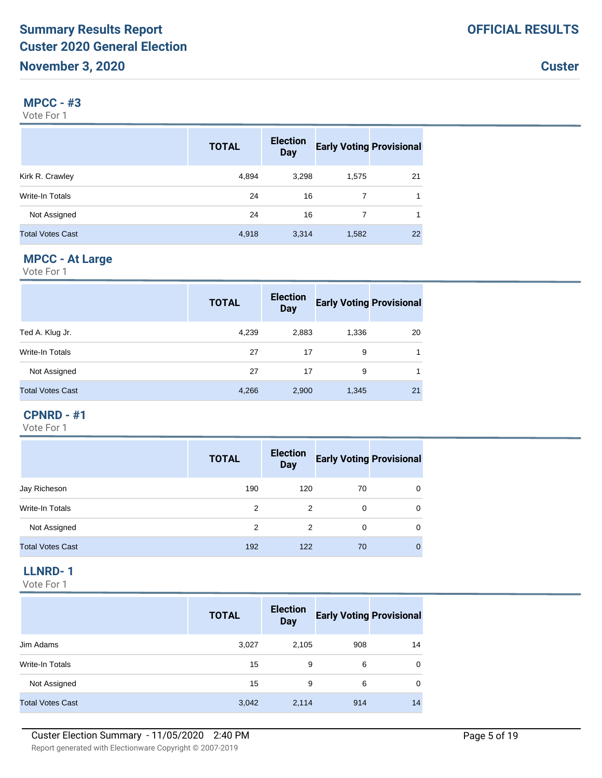## **MPCC - #3**

Vote For 1

|                         | <b>TOTAL</b> | <b>Election</b><br><b>Day</b> | <b>Early Voting Provisional</b> |    |
|-------------------------|--------------|-------------------------------|---------------------------------|----|
| Kirk R. Crawley         | 4,894        | 3,298                         | 1,575                           | 21 |
| Write-In Totals         | 24           | 16                            |                                 | 1  |
| Not Assigned            | 24           | 16                            | 7                               | 1  |
| <b>Total Votes Cast</b> | 4,918        | 3,314                         | 1,582                           | 22 |

# **MPCC - At Large**

Vote For 1

|                         | <b>TOTAL</b> | <b>Election</b><br><b>Day</b> | <b>Early Voting Provisional</b> |    |
|-------------------------|--------------|-------------------------------|---------------------------------|----|
| Ted A. Klug Jr.         | 4,239        | 2,883                         | 1,336                           | 20 |
| Write-In Totals         | 27           | 17                            | 9                               | 1  |
| Not Assigned            | 27           | 17                            | 9                               | 1  |
| <b>Total Votes Cast</b> | 4,266        | 2,900                         | 1,345                           | 21 |

#### **CPNRD - #1**

Vote For 1

|                         | <b>TOTAL</b> | <b>Election</b><br><b>Day</b> | <b>Early Voting Provisional</b> |              |
|-------------------------|--------------|-------------------------------|---------------------------------|--------------|
| Jay Richeson            | 190          | 120                           | 70                              | 0            |
| Write-In Totals         | 2            | 2                             | 0                               | $\mathbf 0$  |
| Not Assigned            | 2            | 2                             | $\Omega$                        | $\Omega$     |
| <b>Total Votes Cast</b> | 192          | 122                           | 70                              | $\mathbf{0}$ |

# **LLNRD- 1**

|                         | <b>TOTAL</b> | <b>Election</b><br><b>Day</b> | <b>Early Voting Provisional</b> |    |
|-------------------------|--------------|-------------------------------|---------------------------------|----|
| Jim Adams               | 3,027        | 2,105                         | 908                             | 14 |
| Write-In Totals         | 15           | 9                             | 6                               | 0  |
| Not Assigned            | 15           | 9                             | 6                               | 0  |
| <b>Total Votes Cast</b> | 3,042        | 2,114                         | 914                             | 14 |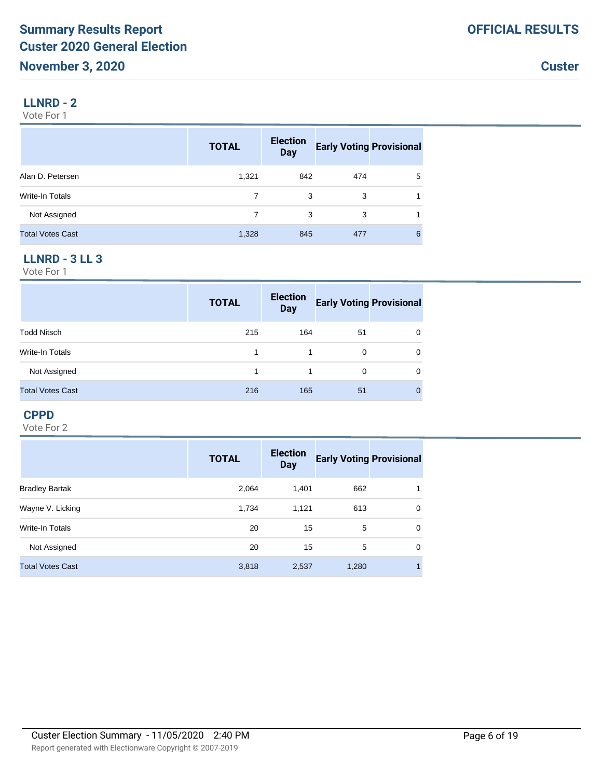## **LLNRD - 2**

Vote For 1

|                         | <b>TOTAL</b> | <b>Election</b><br><b>Day</b> | <b>Early Voting Provisional</b> |   |
|-------------------------|--------------|-------------------------------|---------------------------------|---|
| Alan D. Petersen        | 1,321        | 842                           | 474                             | 5 |
| Write-In Totals         |              | 3                             | 3                               |   |
| Not Assigned            | 7            | 3                             | 3                               |   |
| <b>Total Votes Cast</b> | 1,328        | 845                           | 477                             | 6 |

## **LLNRD - 3 LL 3**

Vote For 1

|                         | <b>TOTAL</b> | <b>Election</b><br><b>Day</b> | <b>Early Voting Provisional</b> |   |
|-------------------------|--------------|-------------------------------|---------------------------------|---|
| <b>Todd Nitsch</b>      | 215          | 164                           | 51                              | 0 |
| Write-In Totals         |              |                               | 0                               | 0 |
| Not Assigned            |              |                               | $\Omega$                        | 0 |
| <b>Total Votes Cast</b> | 216          | 165                           | 51                              | 0 |

## **CPPD**

|                         | <b>TOTAL</b> | <b>Election</b><br><b>Day</b> | <b>Early Voting Provisional</b> |   |
|-------------------------|--------------|-------------------------------|---------------------------------|---|
| <b>Bradley Bartak</b>   | 2,064        | 1.401                         | 662                             | 1 |
| Wayne V. Licking        | 1,734        | 1,121                         | 613                             | 0 |
| Write-In Totals         | 20           | 15                            | 5                               | 0 |
| Not Assigned            | 20           | 15                            | 5                               | 0 |
| <b>Total Votes Cast</b> | 3,818        | 2,537                         | 1,280                           | 1 |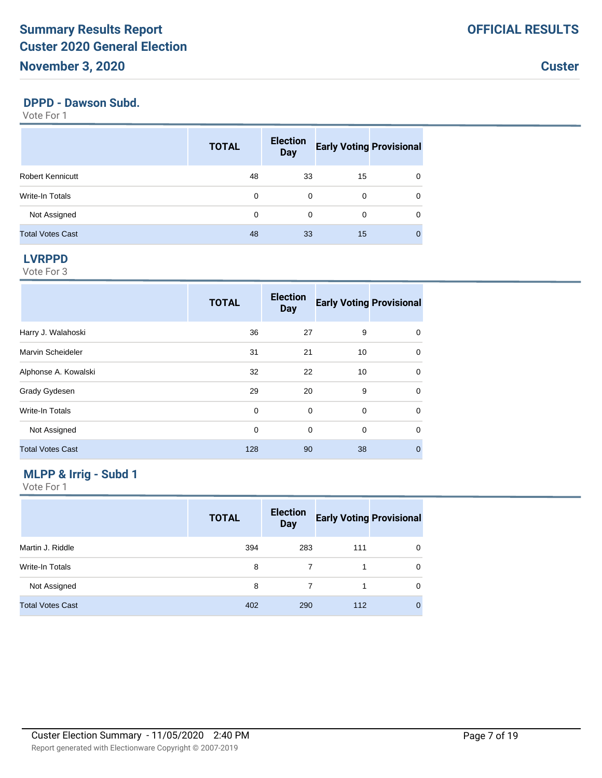# **November 3, 2020**

**Custer**

#### **DPPD - Dawson Subd.**

Vote For 1

|                         | <b>TOTAL</b> | <b>Election</b><br><b>Day</b> | <b>Early Voting Provisional</b> |   |
|-------------------------|--------------|-------------------------------|---------------------------------|---|
| <b>Robert Kennicutt</b> | 48           | 33                            | 15                              | 0 |
| Write-In Totals         | 0            | $\Omega$                      | $\Omega$                        | 0 |
| Not Assigned            | 0            | 0                             | 0                               | 0 |
| <b>Total Votes Cast</b> | 48           | 33                            | 15                              | O |

#### **LVRPPD**

Vote For 3

|                         | <b>TOTAL</b> | <b>Election</b><br><b>Day</b> | <b>Early Voting Provisional</b> |              |
|-------------------------|--------------|-------------------------------|---------------------------------|--------------|
| Harry J. Walahoski      | 36           | 27                            | 9                               | $\Omega$     |
| Marvin Scheideler       | 31           | 21                            | 10                              | $\Omega$     |
| Alphonse A. Kowalski    | 32           | 22                            | 10                              | $\Omega$     |
| Grady Gydesen           | 29           | 20                            | 9                               | $\mathbf 0$  |
| Write-In Totals         | 0            | 0                             | $\mathbf 0$                     | $\mathbf 0$  |
| Not Assigned            | 0            | 0                             | $\mathbf 0$                     | $\mathbf 0$  |
| <b>Total Votes Cast</b> | 128          | 90                            | 38                              | $\mathbf{0}$ |

# **MLPP & Irrig - Subd 1**

|                         | <b>TOTAL</b> | <b>Election</b><br><b>Day</b> | <b>Early Voting Provisional</b> |             |
|-------------------------|--------------|-------------------------------|---------------------------------|-------------|
| Martin J. Riddle        | 394          | 283                           | 111                             | 0           |
| Write-In Totals         | 8            |                               |                                 | $\Omega$    |
| Not Assigned            | 8            |                               |                                 | $\Omega$    |
| <b>Total Votes Cast</b> | 402          | 290                           | 112                             | $\mathbf 0$ |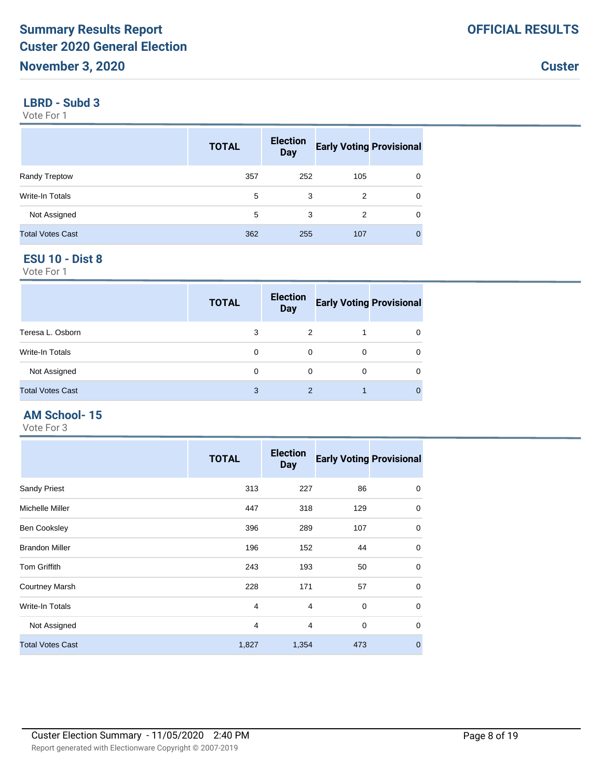#### **LBRD - Subd 3**

Vote For 1

|                         | <b>TOTAL</b> | <b>Election</b><br><b>Day</b> | <b>Early Voting Provisional</b> |   |
|-------------------------|--------------|-------------------------------|---------------------------------|---|
| Randy Treptow           | 357          | 252                           | 105                             | 0 |
| Write-In Totals         | 5            | 3                             | 2                               | 0 |
| Not Assigned            | 5            | 3                             | 2                               | 0 |
| <b>Total Votes Cast</b> | 362          | 255                           | 107                             | 0 |

#### **ESU 10 - Dist 8**

Vote For 1

|                         | <b>TOTAL</b> | <b>Election</b><br><b>Day</b> | <b>Early Voting Provisional</b> |   |
|-------------------------|--------------|-------------------------------|---------------------------------|---|
| Teresa L. Osborn        | 3            | 2                             |                                 | 0 |
| Write-In Totals         | 0            | 0                             | 0                               | 0 |
| Not Assigned            | 0            | 0                             | 0                               | 0 |
| <b>Total Votes Cast</b> | 3            | $\mathcal{P}$                 |                                 | 0 |

#### **AM School- 15**

|                         | <b>TOTAL</b>   | <b>Election</b><br><b>Day</b> | <b>Early Voting Provisional</b> |             |
|-------------------------|----------------|-------------------------------|---------------------------------|-------------|
| <b>Sandy Priest</b>     | 313            | 227                           | 86                              | 0           |
| Michelle Miller         | 447            | 318                           | 129                             | $\mathbf 0$ |
| <b>Ben Cooksley</b>     | 396            | 289                           | 107                             | $\mathbf 0$ |
| <b>Brandon Miller</b>   | 196            | 152                           | 44                              | $\mathbf 0$ |
| <b>Tom Griffith</b>     | 243            | 193                           | 50                              | $\mathbf 0$ |
| <b>Courtney Marsh</b>   | 228            | 171                           | 57                              | $\mathbf 0$ |
| <b>Write-In Totals</b>  | 4              | 4                             | $\mathbf 0$                     | $\mathbf 0$ |
| Not Assigned            | $\overline{4}$ | 4                             | $\mathbf 0$                     | $\mathbf 0$ |
| <b>Total Votes Cast</b> | 1,827          | 1,354                         | 473                             | $\mathbf 0$ |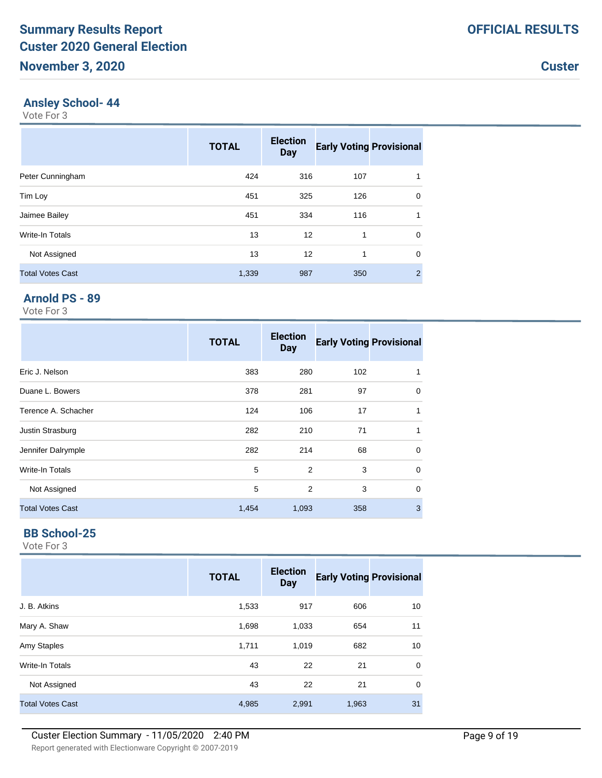#### **Ansley School- 44**

Vote For 3

|                         | <b>TOTAL</b> | <b>Election</b><br><b>Day</b> | <b>Early Voting Provisional</b> |                |
|-------------------------|--------------|-------------------------------|---------------------------------|----------------|
| Peter Cunningham        | 424          | 316                           | 107                             |                |
| Tim Loy                 | 451          | 325                           | 126                             | $\mathbf 0$    |
| Jaimee Bailey           | 451          | 334                           | 116                             | 1              |
| Write-In Totals         | 13           | 12                            | 1                               | $\mathbf 0$    |
| Not Assigned            | 13           | 12                            | 1                               | 0              |
| <b>Total Votes Cast</b> | 1,339        | 987                           | 350                             | $\overline{2}$ |

# **Arnold PS - 89**

Vote For 3

|                         | <b>TOTAL</b> | <b>Election</b><br><b>Day</b> | <b>Early Voting Provisional</b> |             |
|-------------------------|--------------|-------------------------------|---------------------------------|-------------|
| Eric J. Nelson          | 383          | 280                           | 102                             | 1           |
| Duane L. Bowers         | 378          | 281                           | 97                              | 0           |
| Terence A. Schacher     | 124          | 106                           | 17                              | 1           |
| Justin Strasburg        | 282          | 210                           | 71                              | 1           |
| Jennifer Dalrymple      | 282          | 214                           | 68                              | 0           |
| Write-In Totals         | 5            | $\overline{2}$                | 3                               | $\mathbf 0$ |
| Not Assigned            | 5            | 2                             | 3                               | $\mathbf 0$ |
| <b>Total Votes Cast</b> | 1,454        | 1,093                         | 358                             | 3           |

#### **BB School-25**

|                         | <b>TOTAL</b> | <b>Election</b><br><b>Day</b> | <b>Early Voting Provisional</b> |             |
|-------------------------|--------------|-------------------------------|---------------------------------|-------------|
| J. B. Atkins            | 1,533        | 917                           | 606                             | 10          |
| Mary A. Shaw            | 1,698        | 1,033                         | 654                             | 11          |
| Amy Staples             | 1,711        | 1,019                         | 682                             | 10          |
| Write-In Totals         | 43           | 22                            | 21                              | $\mathbf 0$ |
| Not Assigned            | 43           | 22                            | 21                              | $\mathbf 0$ |
| <b>Total Votes Cast</b> | 4,985        | 2,991                         | 1,963                           | 31          |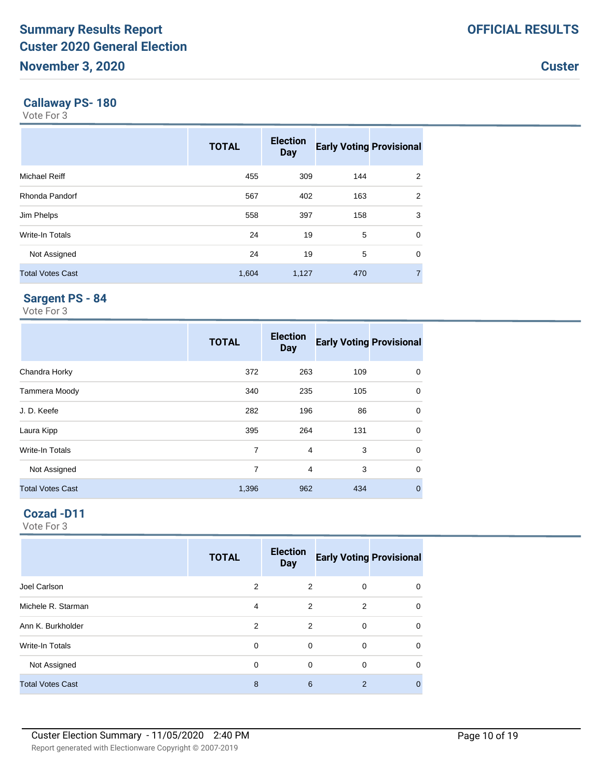#### **Callaway PS- 180**

Vote For 3

|                         | <b>TOTAL</b> | <b>Election</b><br><b>Day</b> | <b>Early Voting Provisional</b> |                |
|-------------------------|--------------|-------------------------------|---------------------------------|----------------|
| <b>Michael Reiff</b>    | 455          | 309                           | 144                             | 2              |
| Rhonda Pandorf          | 567          | 402                           | 163                             | 2              |
| Jim Phelps              | 558          | 397                           | 158                             | 3              |
| Write-In Totals         | 24           | 19                            | 5                               | 0              |
| Not Assigned            | 24           | 19                            | 5                               | $\mathbf 0$    |
| <b>Total Votes Cast</b> | 1,604        | 1,127                         | 470                             | $\overline{7}$ |

## **Sargent PS - 84**

Vote For 3

|                         | <b>TOTAL</b> | <b>Election</b><br><b>Day</b> | <b>Early Voting Provisional</b> |             |
|-------------------------|--------------|-------------------------------|---------------------------------|-------------|
| Chandra Horky           | 372          | 263                           | 109                             | 0           |
| Tammera Moody           | 340          | 235                           | 105                             | $\mathbf 0$ |
| J.D. Keefe              | 282          | 196                           | 86                              | 0           |
| Laura Kipp              | 395          | 264                           | 131                             | 0           |
| Write-In Totals         | 7            | $\overline{4}$                | 3                               | $\mathbf 0$ |
| Not Assigned            | 7            | 4                             | 3                               | $\mathbf 0$ |
| <b>Total Votes Cast</b> | 1,396        | 962                           | 434                             | $\mathbf 0$ |

# **Cozad -D11**

|                         | <b>TOTAL</b> | <b>Election</b><br><b>Day</b> | <b>Early Voting Provisional</b> |          |
|-------------------------|--------------|-------------------------------|---------------------------------|----------|
| Joel Carlson            | 2            | 2                             | 0                               | 0        |
| Michele R. Starman      | 4            | 2                             | 2                               | $\Omega$ |
| Ann K. Burkholder       | 2            | 2                             | 0                               | $\Omega$ |
| <b>Write-In Totals</b>  | $\Omega$     | 0                             | 0                               | $\Omega$ |
| Not Assigned            | $\Omega$     | $\Omega$                      | $\Omega$                        | $\Omega$ |
| <b>Total Votes Cast</b> | 8            | 6                             | $\overline{2}$                  | 0        |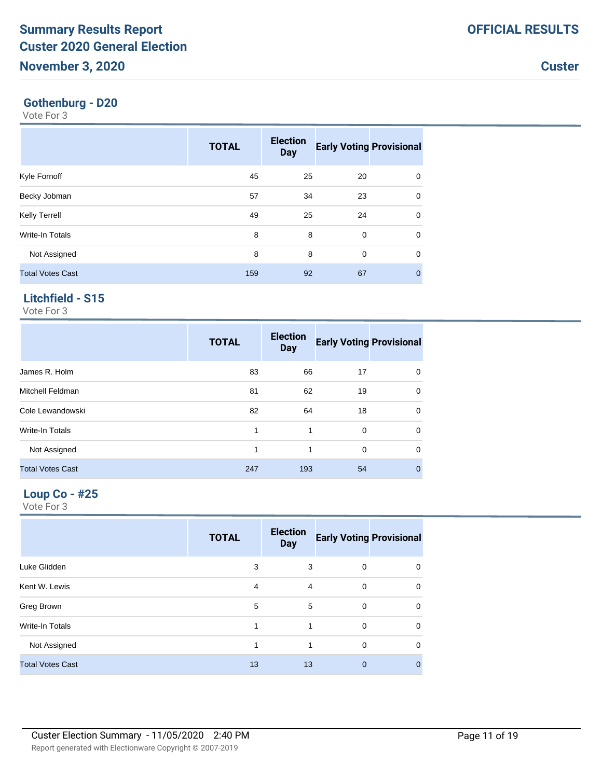#### **Gothenburg - D20**

Vote For 3

|                         | <b>TOTAL</b> | <b>Election</b><br><b>Day</b> | <b>Early Voting Provisional</b> |              |
|-------------------------|--------------|-------------------------------|---------------------------------|--------------|
| Kyle Fornoff            | 45           | 25                            | 20                              | $\mathbf 0$  |
| Becky Jobman            | 57           | 34                            | 23                              | $\mathbf 0$  |
| <b>Kelly Terrell</b>    | 49           | 25                            | 24                              | $\mathbf 0$  |
| Write-In Totals         | 8            | 8                             | $\mathbf 0$                     | $\mathbf 0$  |
| Not Assigned            | 8            | 8                             | $\mathbf 0$                     | $\mathbf 0$  |
| <b>Total Votes Cast</b> | 159          | 92                            | 67                              | $\mathbf{0}$ |

# **Litchfield - S15**

Vote For 3

|                         | <b>TOTAL</b> | <b>Election</b><br><b>Day</b> | <b>Early Voting Provisional</b> |             |
|-------------------------|--------------|-------------------------------|---------------------------------|-------------|
| James R. Holm           | 83           | 66                            | 17                              | $\Omega$    |
| <b>Mitchell Feldman</b> | 81           | 62                            | 19                              | 0           |
| Cole Lewandowski        | 82           | 64                            | 18                              | 0           |
| Write-In Totals         | 1            | 1                             | 0                               | $\Omega$    |
| Not Assigned            | 1            | 1                             | 0                               | 0           |
| <b>Total Votes Cast</b> | 247          | 193                           | 54                              | $\mathbf 0$ |

#### **Loup Co - #25**

|                         | <b>TOTAL</b> | <b>Election</b><br><b>Day</b> | <b>Early Voting Provisional</b> |             |
|-------------------------|--------------|-------------------------------|---------------------------------|-------------|
| Luke Glidden            | 3            | 3                             | 0                               | 0           |
| Kent W. Lewis           | 4            | 4                             | 0                               | 0           |
| Greg Brown              | 5            | 5                             | $\Omega$                        | 0           |
| Write-In Totals         | 1            | 1                             | $\mathbf 0$                     | 0           |
| Not Assigned            | 1            | 1                             | $\Omega$                        | $\mathbf 0$ |
| <b>Total Votes Cast</b> | 13           | 13                            | $\mathbf 0$                     | 0           |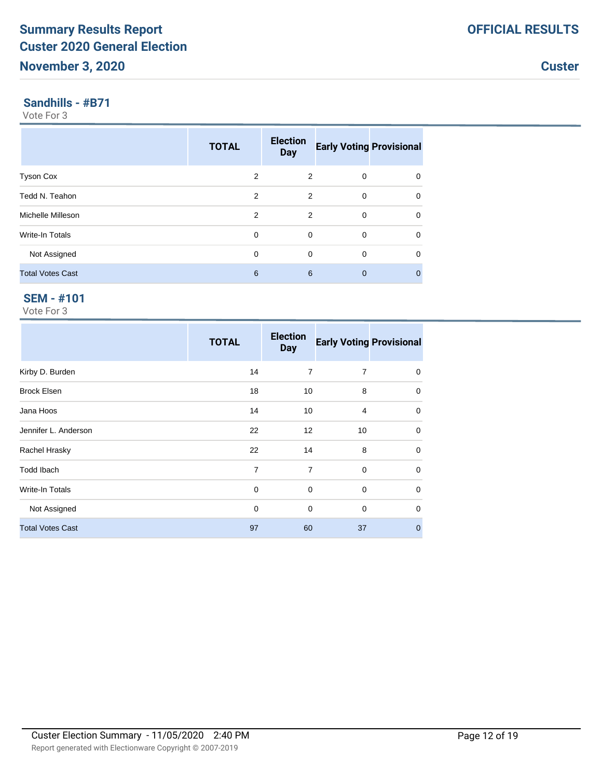#### **Sandhills - #B71**

Vote For 3

|                         | <b>TOTAL</b>   | <b>Election</b><br><b>Day</b> | <b>Early Voting Provisional</b> |              |
|-------------------------|----------------|-------------------------------|---------------------------------|--------------|
| <b>Tyson Cox</b>        | 2              | 2                             | 0                               | 0            |
| Tedd N. Teahon          | 2              | 2                             | $\mathbf 0$                     | $\mathbf 0$  |
| Michelle Milleson       | $\mathfrak{p}$ | $\overline{2}$                | $\Omega$                        | $\mathbf 0$  |
| <b>Write-In Totals</b>  | $\Omega$       | 0                             | 0                               | $\mathbf 0$  |
| Not Assigned            | $\Omega$       | $\Omega$                      | $\Omega$                        | 0            |
| <b>Total Votes Cast</b> | 6              | 6                             | $\Omega$                        | $\mathbf{0}$ |

# **SEM - #101**

|                         | <b>TOTAL</b>   | <b>Election</b><br><b>Day</b> | <b>Early Voting Provisional</b> |                |
|-------------------------|----------------|-------------------------------|---------------------------------|----------------|
| Kirby D. Burden         | 14             | $\overline{7}$                | $\overline{7}$                  | 0              |
| <b>Brock Elsen</b>      | 18             | 10                            | 8                               | $\mathbf 0$    |
| Jana Hoos               | 14             | 10                            | 4                               | 0              |
| Jennifer L. Anderson    | 22             | 12                            | 10                              | $\mathbf 0$    |
| Rachel Hrasky           | 22             | 14                            | 8                               | $\mathbf 0$    |
| <b>Todd Ibach</b>       | $\overline{7}$ | $\overline{7}$                | $\mathbf 0$                     | $\mathbf 0$    |
| <b>Write-In Totals</b>  | 0              | 0                             | $\mathbf 0$                     | $\mathbf 0$    |
| Not Assigned            | 0              | $\mathbf 0$                   | $\mathbf 0$                     | $\mathbf 0$    |
| <b>Total Votes Cast</b> | 97             | 60                            | 37                              | $\overline{0}$ |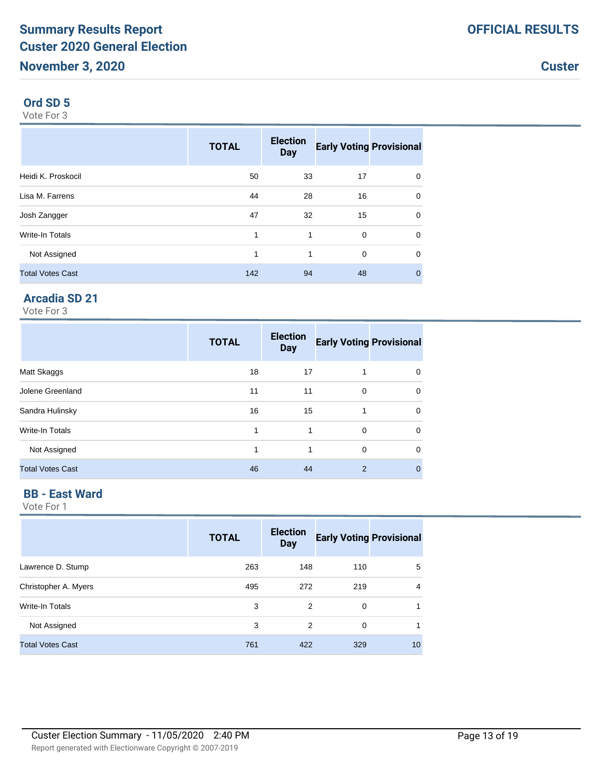#### **Ord SD 5**

Vote For 3

|                         | <b>TOTAL</b> | <b>Election</b><br><b>Day</b> | <b>Early Voting Provisional</b> |                |
|-------------------------|--------------|-------------------------------|---------------------------------|----------------|
| Heidi K. Proskocil      | 50           | 33                            | 17                              | 0              |
| Lisa M. Farrens         | 44           | 28                            | 16                              | $\mathbf 0$    |
| Josh Zangger            | 47           | 32                            | 15                              | 0              |
| Write-In Totals         | 1            | 1                             | $\mathbf 0$                     | 0              |
| Not Assigned            | 1            | 1                             | $\mathbf 0$                     | 0              |
| <b>Total Votes Cast</b> | 142          | 94                            | 48                              | $\overline{0}$ |

# **Arcadia SD 21**

Vote For 3

|                         | <b>TOTAL</b> | <b>Election</b><br><b>Day</b> | <b>Early Voting Provisional</b> |              |
|-------------------------|--------------|-------------------------------|---------------------------------|--------------|
| Matt Skaggs             | 18           | 17                            | 1                               | 0            |
| Jolene Greenland        | 11           | 11                            | $\mathbf 0$                     | $\Omega$     |
| Sandra Hulinsky         | 16           | 15                            | 1                               | $\mathbf 0$  |
| Write-In Totals         | 1            | 1                             | $\Omega$                        | $\Omega$     |
| Not Assigned            | 1            | 1                             | 0                               | $\Omega$     |
| <b>Total Votes Cast</b> | 46           | 44                            | $\overline{2}$                  | $\mathbf{0}$ |

#### **BB - East Ward**

|                         | <b>TOTAL</b> | <b>Election</b><br><b>Day</b> | <b>Early Voting Provisional</b> |    |
|-------------------------|--------------|-------------------------------|---------------------------------|----|
| Lawrence D. Stump       | 263          | 148                           | 110                             | 5  |
| Christopher A. Myers    | 495          | 272                           | 219                             | 4  |
| Write-In Totals         | 3            | 2                             | 0                               | 1  |
| Not Assigned            | 3            | 2                             | $\Omega$                        |    |
| <b>Total Votes Cast</b> | 761          | 422                           | 329                             | 10 |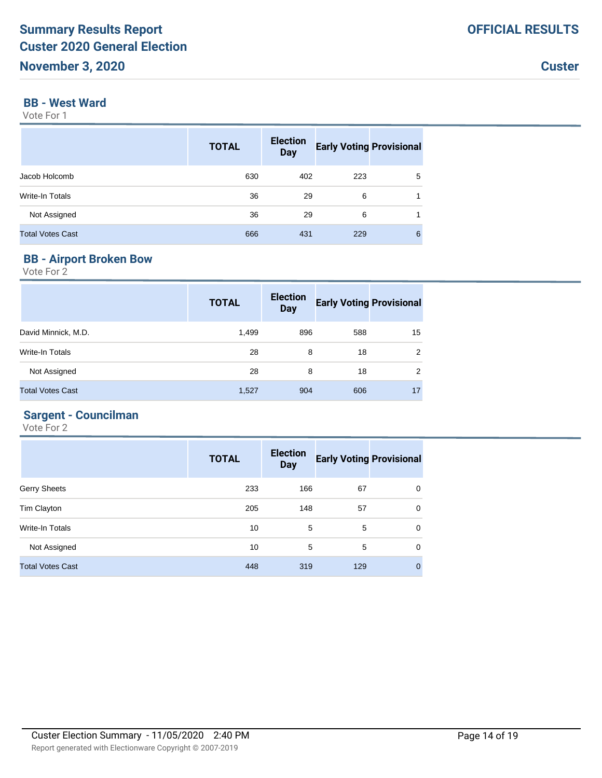## **BB - West Ward**

Vote For 1

|                         | <b>TOTAL</b> | <b>Election</b><br><b>Day</b> | <b>Early Voting Provisional</b> |   |
|-------------------------|--------------|-------------------------------|---------------------------------|---|
| Jacob Holcomb           | 630          | 402                           | 223                             | 5 |
| <b>Write-In Totals</b>  | 36           | 29                            | 6                               |   |
| Not Assigned            | 36           | 29                            | 6                               |   |
| <b>Total Votes Cast</b> | 666          | 431                           | 229                             | 6 |

# **BB - Airport Broken Bow**

Vote For 2

|                         | <b>TOTAL</b> | <b>Election</b><br><b>Day</b> | <b>Early Voting Provisional</b> |    |
|-------------------------|--------------|-------------------------------|---------------------------------|----|
| David Minnick, M.D.     | 1,499        | 896                           | 588                             | 15 |
| Write-In Totals         | 28           | 8                             | 18                              | 2  |
| Not Assigned            | 28           | 8                             | 18                              | 2  |
| <b>Total Votes Cast</b> | 1,527        | 904                           | 606                             | 17 |

# **Sargent - Councilman**

|                         | <b>TOTAL</b> | <b>Election</b><br><b>Day</b> | <b>Early Voting Provisional</b> |              |
|-------------------------|--------------|-------------------------------|---------------------------------|--------------|
| <b>Gerry Sheets</b>     | 233          | 166                           | 67                              | $\mathbf 0$  |
| Tim Clayton             | 205          | 148                           | 57                              | $\mathbf 0$  |
| Write-In Totals         | 10           | 5                             | 5                               | $\Omega$     |
| Not Assigned            | 10           | 5                             | 5                               | $\mathbf 0$  |
| <b>Total Votes Cast</b> | 448          | 319                           | 129                             | $\mathbf{0}$ |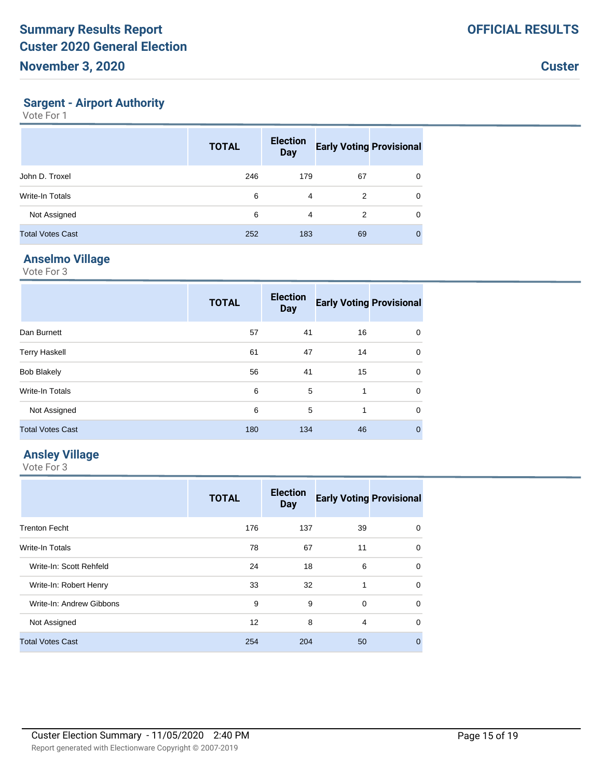#### **Sargent - Airport Authority**

Vote For 1

|                         | <b>TOTAL</b> | <b>Election</b><br><b>Day</b> | <b>Early Voting Provisional</b> |   |
|-------------------------|--------------|-------------------------------|---------------------------------|---|
| John D. Troxel          | 246          | 179                           | 67                              | 0 |
| Write-In Totals         | 6            | 4                             | 2                               | 0 |
| Not Assigned            | 6            | 4                             | 2                               | 0 |
| <b>Total Votes Cast</b> | 252          | 183                           | 69                              | 0 |

# **Anselmo Village**

Vote For 3

|                         | <b>TOTAL</b> | <b>Election</b><br><b>Day</b> | <b>Early Voting Provisional</b> |              |
|-------------------------|--------------|-------------------------------|---------------------------------|--------------|
| Dan Burnett             | 57           | 41                            | 16                              | 0            |
| <b>Terry Haskell</b>    | 61           | 47                            | 14                              | 0            |
| <b>Bob Blakely</b>      | 56           | 41                            | 15                              | 0            |
| Write-In Totals         | 6            | 5                             | 1                               | 0            |
| Not Assigned            | 6            | 5                             | 1                               | 0            |
| <b>Total Votes Cast</b> | 180          | 134                           | 46                              | $\mathbf{0}$ |

#### **Ansley Village**

|                          | <b>TOTAL</b> | <b>Election</b><br><b>Day</b> | <b>Early Voting Provisional</b> |              |
|--------------------------|--------------|-------------------------------|---------------------------------|--------------|
| <b>Trenton Fecht</b>     | 176          | 137                           | 39                              | 0            |
| <b>Write-In Totals</b>   | 78           | 67                            | 11                              | $\mathbf 0$  |
| Write-In: Scott Rehfeld  | 24           | 18                            | 6                               | $\Omega$     |
| Write-In: Robert Henry   | 33           | 32                            | 1                               | $\Omega$     |
| Write-In: Andrew Gibbons | 9            | 9                             | 0                               | $\Omega$     |
| Not Assigned             | 12           | 8                             | 4                               | $\Omega$     |
| <b>Total Votes Cast</b>  | 254          | 204                           | 50                              | $\mathbf{0}$ |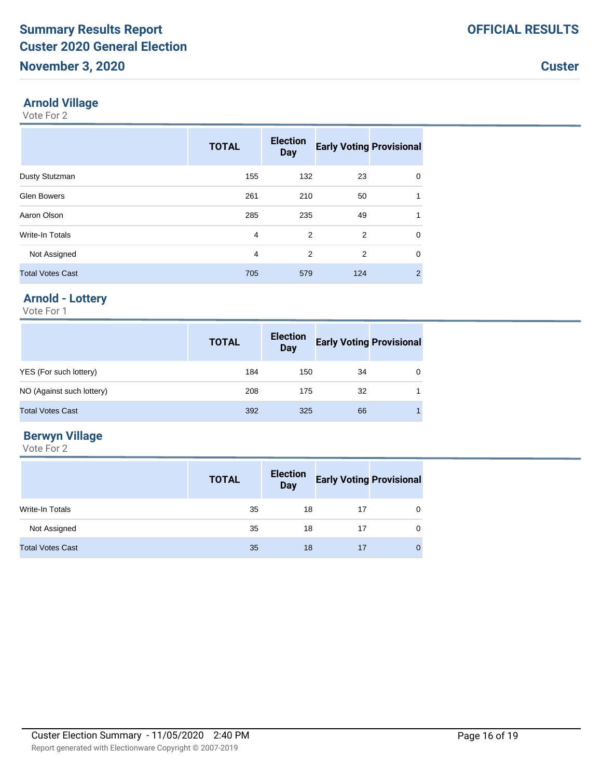#### **Arnold Village**

Vote For 2

|                         | <b>TOTAL</b> | <b>Election</b><br><b>Day</b> | <b>Early Voting Provisional</b> |             |
|-------------------------|--------------|-------------------------------|---------------------------------|-------------|
| Dusty Stutzman          | 155          | 132                           | 23                              | 0           |
| <b>Glen Bowers</b>      | 261          | 210                           | 50                              | 1           |
| Aaron Olson             | 285          | 235                           | 49                              | 1           |
| <b>Write-In Totals</b>  | 4            | 2                             | 2                               | 0           |
| Not Assigned            | 4            | 2                             | 2                               | $\mathbf 0$ |
| <b>Total Votes Cast</b> | 705          | 579                           | 124                             | 2           |

# **Arnold - Lottery**

Vote For 1

|                           | <b>TOTAL</b> | <b>Election</b><br><b>Day</b> | <b>Early Voting Provisional</b> |   |
|---------------------------|--------------|-------------------------------|---------------------------------|---|
| YES (For such lottery)    | 184          | 150                           | 34                              | 0 |
| NO (Against such lottery) | 208          | 175                           | 32                              |   |
| <b>Total Votes Cast</b>   | 392          | 325                           | 66                              |   |

## **Berwyn Village**

|                         | <b>TOTAL</b> | <b>Election</b><br>Day | <b>Early Voting Provisional</b> |   |
|-------------------------|--------------|------------------------|---------------------------------|---|
| Write-In Totals         | 35           | 18                     | 17                              | 0 |
| Not Assigned            | 35           | 18                     | 17                              | 0 |
| <b>Total Votes Cast</b> | 35           | 18                     | 17                              | 0 |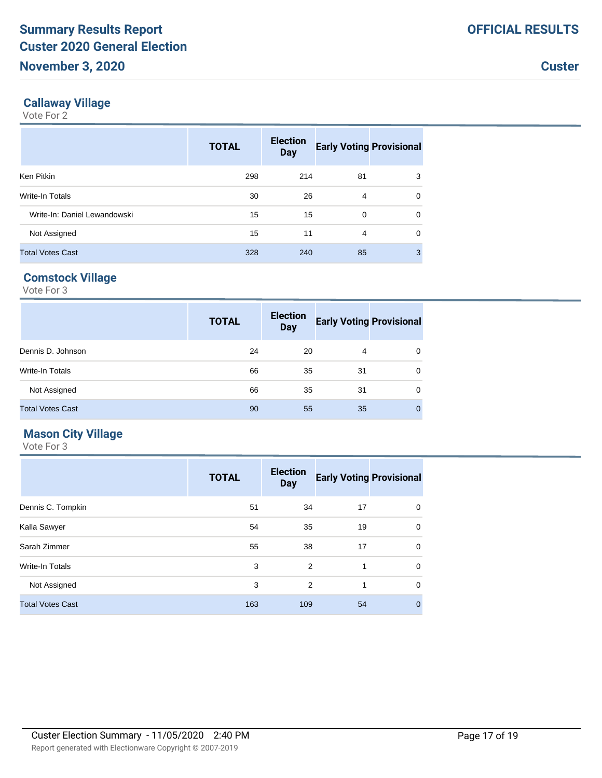#### **Callaway Village**

Vote For 2

|                              | <b>TOTAL</b> | <b>Election</b><br><b>Day</b> | <b>Early Voting Provisional</b> |          |
|------------------------------|--------------|-------------------------------|---------------------------------|----------|
| Ken Pitkin                   | 298          | 214                           | 81                              | 3        |
| Write-In Totals              | 30           | 26                            | 4                               | $\Omega$ |
| Write-In: Daniel Lewandowski | 15           | 15                            | $\Omega$                        | $\Omega$ |
| Not Assigned                 | 15           | 11                            | 4                               | $\Omega$ |
| <b>Total Votes Cast</b>      | 328          | 240                           | 85                              | 3        |

## **Comstock Village**

Vote For 3

|                         | <b>TOTAL</b> | <b>Election</b><br><b>Day</b> | <b>Early Voting Provisional</b> |             |
|-------------------------|--------------|-------------------------------|---------------------------------|-------------|
| Dennis D. Johnson       | 24           | 20                            | 4                               | 0           |
| Write-In Totals         | 66           | 35                            | 31                              | $\mathbf 0$ |
| Not Assigned            | 66           | 35                            | 31                              | $\mathbf 0$ |
| <b>Total Votes Cast</b> | 90           | 55                            | 35                              | $\Omega$    |

#### **Mason City Village**

|                         | <b>TOTAL</b> | <b>Election</b><br><b>Day</b> | <b>Early Voting Provisional</b> |   |
|-------------------------|--------------|-------------------------------|---------------------------------|---|
| Dennis C. Tompkin       | 51           | 34                            | 17                              | 0 |
| Kalla Sawyer            | 54           | 35                            | 19                              | 0 |
| Sarah Zimmer            | 55           | 38                            | 17                              | 0 |
| <b>Write-In Totals</b>  | 3            | 2                             | 1                               | 0 |
| Not Assigned            | 3            | 2                             | 1                               | 0 |
| <b>Total Votes Cast</b> | 163          | 109                           | 54                              | 0 |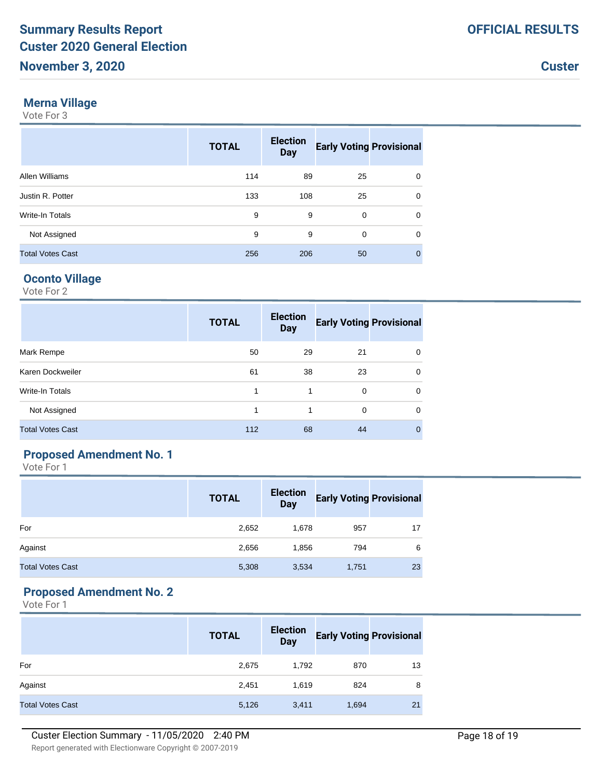#### **Merna Village**

Vote For 3

|                         | <b>TOTAL</b> | <b>Election</b><br><b>Day</b> | <b>Early Voting Provisional</b> |             |
|-------------------------|--------------|-------------------------------|---------------------------------|-------------|
| Allen Williams          | 114          | 89                            | 25                              | $\Omega$    |
| Justin R. Potter        | 133          | 108                           | 25                              | 0           |
| Write-In Totals         | 9            | 9                             | 0                               | $\Omega$    |
| Not Assigned            | 9            | 9                             | 0                               | 0           |
| <b>Total Votes Cast</b> | 256          | 206                           | 50                              | $\mathbf 0$ |

#### **Oconto Village**

Vote For 2

|                         | <b>TOTAL</b> | <b>Election</b><br><b>Day</b> | <b>Early Voting Provisional</b> |             |
|-------------------------|--------------|-------------------------------|---------------------------------|-------------|
| Mark Rempe              | 50           | 29                            | 21                              | $\Omega$    |
| Karen Dockweiler        | 61           | 38                            | 23                              | 0           |
| Write-In Totals         |              | 1                             | $\Omega$                        | $\Omega$    |
| Not Assigned            | 1            | 1                             | $\Omega$                        | $\mathbf 0$ |
| <b>Total Votes Cast</b> | 112          | 68                            | 44                              | 0           |

# **Proposed Amendment No. 1**

Vote For 1

|                         | <b>TOTAL</b> | <b>Election</b><br><b>Day</b> | <b>Early Voting Provisional</b> |    |
|-------------------------|--------------|-------------------------------|---------------------------------|----|
| For                     | 2,652        | 1,678                         | 957                             | 17 |
| Against                 | 2,656        | 1,856                         | 794                             | 6  |
| <b>Total Votes Cast</b> | 5,308        | 3,534                         | 1,751                           | 23 |

## **Proposed Amendment No. 2**

|                         | <b>TOTAL</b> | <b>Election</b><br><b>Day</b> | <b>Early Voting Provisional</b> |    |
|-------------------------|--------------|-------------------------------|---------------------------------|----|
| For                     | 2,675        | 1,792                         | 870                             | 13 |
| Against                 | 2,451        | 1,619                         | 824                             | 8  |
| <b>Total Votes Cast</b> | 5,126        | 3,411                         | 1,694                           | 21 |